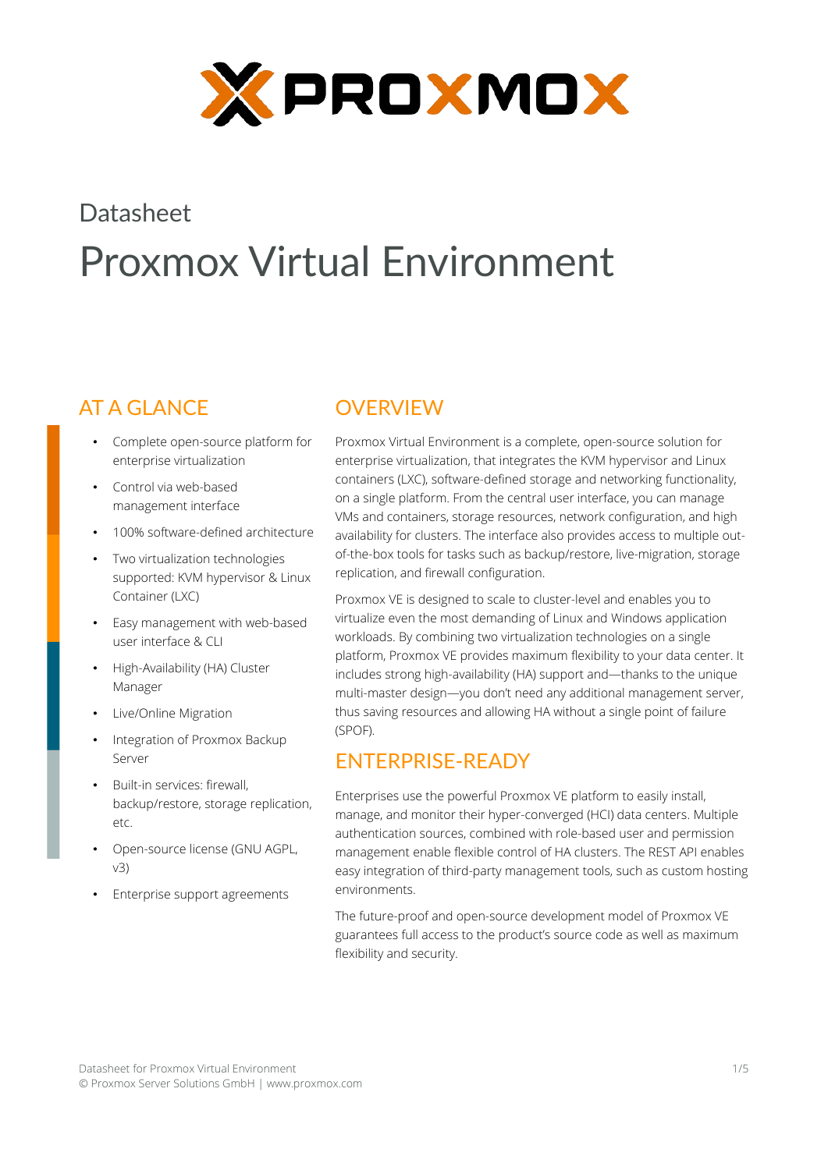

# **Datasheet** Proxmox Virtual Environment

# AT A GLANCE

- Complete open-source platform for enterprise virtualization
- Control via web-based management interface
- 100% software-defined architecture
- Two virtualization technologies supported: KVM hypervisor & Linux Container (LXC)
- Easy management with web-based user interface & CLI
- High-Availability (HA) Cluster Manager
- Live/Online Migration
- Integration of Proxmox Backup Server
- Built-in services: firewall, backup/restore, storage replication, etc.
- Open-source license (GNU AGPL, v3)
- Enterprise support agreements

# **OVERVIEW**

Proxmox Virtual Environment is a complete, open-source solution for enterprise virtualization, that integrates the KVM hypervisor and Linux containers (LXC), software-defined storage and networking functionality, on a single platform. From the central user interface, you can manage VMs and containers, storage resources, network configuration, and high availability for clusters. The interface also provides access to multiple outof-the-box tools for tasks such as backup/restore, live-migration, storage replication, and firewall configuration.

Proxmox VE is designed to scale to cluster-level and enables you to virtualize even the most demanding of Linux and Windows application workloads. By combining two virtualization technologies on a single platform, Proxmox VE provides maximum flexibility to your data center. It includes strong high-availability (HA) support and—thanks to the unique multi-master design—you don't need any additional management server, thus saving resources and allowing HA without a single point of failure (SPOF).

# ENTERPRISE-READY

Enterprises use the powerful Proxmox VE platform to easily install, manage, and monitor their hyper-converged (HCI) data centers. Multiple authentication sources, combined with role-based user and permission management enable flexible control of HA clusters. The REST API enables easy integration of third-party management tools, such as custom hosting environments.

The future-proof and open-source development model of Proxmox VE guarantees full access to the product's source code as well as maximum flexibility and security.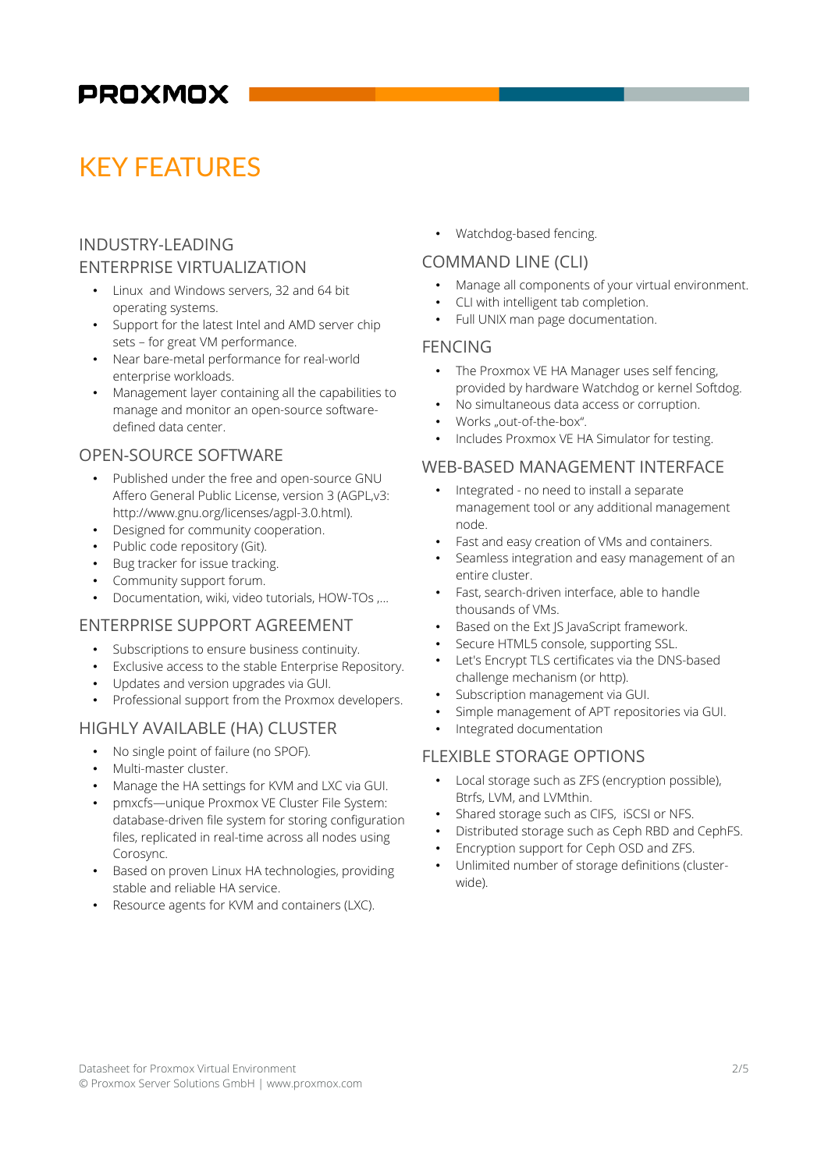# KEY FEATURES

# INDUSTRY-LEADING ENTERPRISE VIRTUALIZATION

- Linux and Windows servers, 32 and 64 bit operating systems.
- Support for the latest Intel and AMD server chip sets – for great VM performance.
- Near bare-metal performance for real-world enterprise workloads.
- Management layer containing all the capabilities to manage and monitor an open-source softwaredefined data center.

# OPEN-SOURCE SOFTWARE

- Published under the free and open-source GNU Affero General Public License, version 3 (AGPL,v3: http://www.gnu.org/licenses/agpl-3.0.html).
- Designed for community cooperation.
- Public code repository (Git).
- Bug tracker for issue tracking.
- Community support forum.
- Documentation, wiki, video tutorials, HOW-TOs ,...

# ENTERPRISE SUPPORT AGREEMENT

- Subscriptions to ensure business continuity.
- Exclusive access to the stable Enterprise Repository.
- Updates and version upgrades via GUI.
- Professional support from the Proxmox developers.

### HIGHLY AVAILABLE (HA) CLUSTER

- No single point of failure (no SPOF).
- Multi-master cluster.
- Manage the HA settings for KVM and LXC via GUI.
- pmxcfs—unique Proxmox VE Cluster File System: database-driven file system for storing configuration files, replicated in real-time across all nodes using Corosync.
- Based on proven Linux HA technologies, providing stable and reliable HA service.
- Resource agents for KVM and containers (LXC).

• Watchdog-based fencing.

# COMMAND LINE (CLI)

- Manage all components of your virtual environment.
- CLI with intelligent tab completion.
- Full UNIX man page documentation.

#### FENCING

- The Proxmox VE HA Manager uses self fencing, provided by hardware Watchdog or kernel Softdog.
- No simultaneous data access or corruption.
- Works ..out-of-the-box"
- Includes Proxmox VE HA Simulator for testing.

### WEB-BASED MANAGEMENT INTERFACE

- Integrated no need to install a separate management tool or any additional management node.
- Fast and easy creation of VMs and containers.
- Seamless integration and easy management of an entire cluster.
- Fast, search-driven interface, able to handle thousands of VMs.
- Based on the Ext JS JavaScript framework.
- Secure HTML5 console, supporting SSL.
- Let's Encrypt TLS certificates via the DNS-based challenge mechanism (or http).
- Subscription management via GUI.
- Simple management of APT repositories via GUI.
- Integrated documentation

# FLEXIBLE STORAGE OPTIONS

- Local storage such as ZFS (encryption possible), Btrfs, LVM, and LVMthin.
- Shared storage such as CIFS, iSCSI or NFS.
- Distributed storage such as Ceph RBD and CephFS.
- Encryption support for Ceph OSD and ZFS.
- Unlimited number of storage definitions (clusterwide).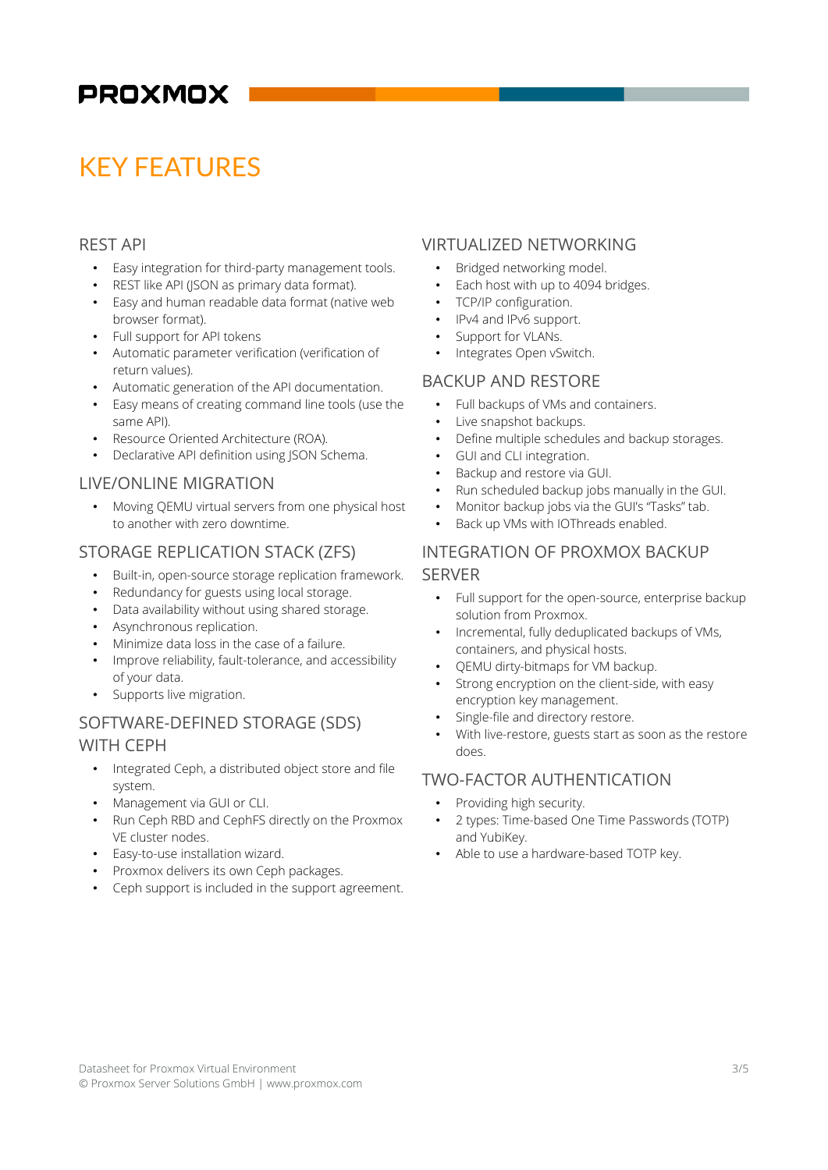# KEY FEATURES

### REST API

- Easy integration for third-party management tools.
- REST like API (JSON as primary data format).
- Easy and human readable data format (native web browser format).
- Full support for API tokens
- Automatic parameter verification (verification of return values).
- Automatic generation of the API documentation.
- Easy means of creating command line tools (use the same API).
- Resource Oriented Architecture (ROA).
- Declarative API definition using JSON Schema.

### LIVE/ONLINE MIGRATION

• Moving QEMU virtual servers from one physical host to another with zero downtime.

# STORAGE REPLICATION STACK (ZFS)

- Built-in, open-source storage replication framework.
- Redundancy for guests using local storage.
- Data availability without using shared storage.
- Asynchronous replication.
- Minimize data loss in the case of a failure.
- Improve reliability, fault-tolerance, and accessibility of your data.
- Supports live migration.

# SOFTWARE-DEFINED STORAGE (SDS) WITH CEPH

- Integrated Ceph, a distributed object store and file system.
- Management via GUI or CLI.
- Run Ceph RBD and CephFS directly on the Proxmox VE cluster nodes.
- Easy-to-use installation wizard.
- Proxmox delivers its own Ceph packages.
- Ceph support is included in the support agreement.

### VIRTUALIZED NETWORKING

- Bridged networking model.
- Each host with up to 4094 bridges.
- TCP/IP configuration.
- IPv4 and IPv6 support.
- Support for VLANs.
- Integrates Open vSwitch.

# BACKUP AND RESTORE

- Full backups of VMs and containers.
- Live snapshot backups.
- Define multiple schedules and backup storages.
- GUI and CLI integration.
- Backup and restore via GUI.
- Run scheduled backup jobs manually in the GUI.
- Monitor backup jobs via the GUI's "Tasks" tab.
- Back up VMs with IOThreads enabled.

# INTEGRATION OF PROXMOX BACKUP **SERVER**

- Full support for the open-source, enterprise backup solution from Proxmox.
- Incremental, fully deduplicated backups of VMs, containers, and physical hosts.
- QEMU dirty-bitmaps for VM backup.
- Strong encryption on the client-side, with easy encryption key management.
- Single-file and directory restore.
- With live-restore, guests start as soon as the restore does.

### TWO-FACTOR AUTHENTICATION

- Providing high security.
- 2 types: Time-based One Time Passwords (TOTP) and YubiKey.
- Able to use a hardware-based TOTP key.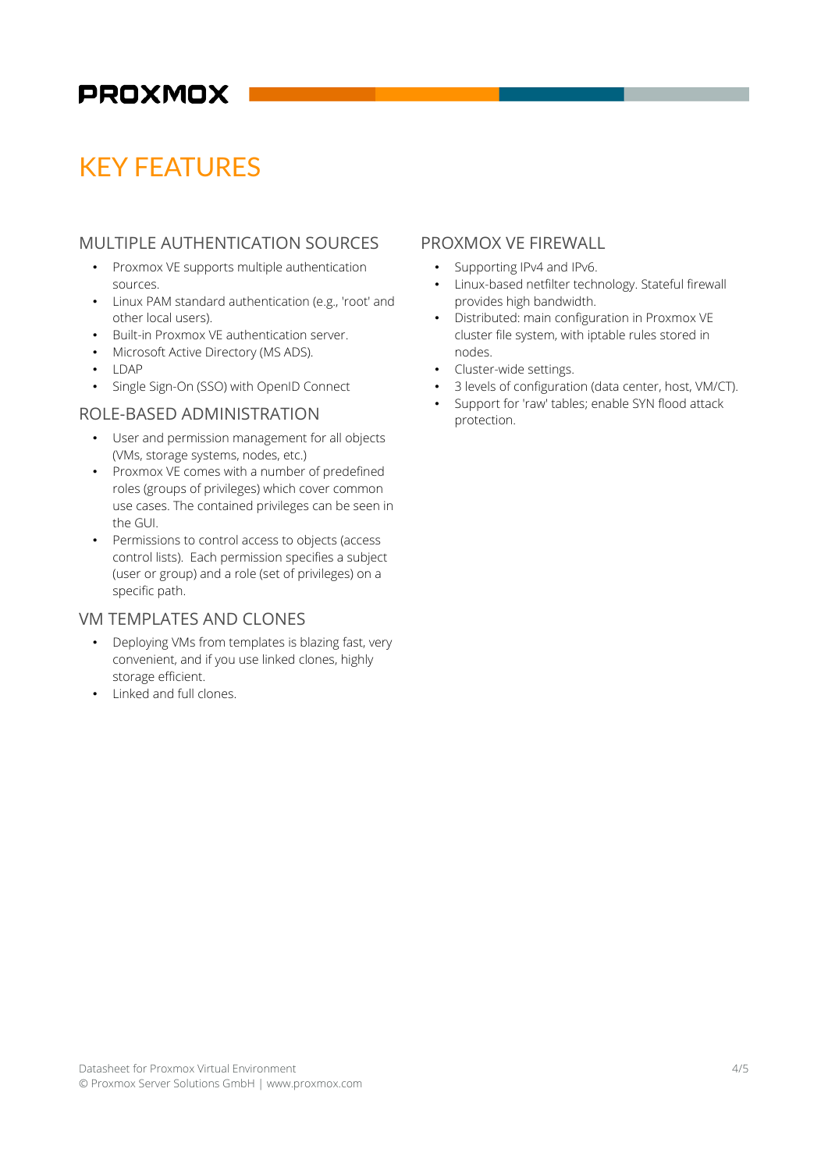# KEY FEATURES

# MULTIPLE AUTHENTICATION SOURCES

- Proxmox VE supports multiple authentication sources.
- Linux PAM standard authentication (e.g., 'root' and other local users).
- Built-in Proxmox VE authentication server.
- Microsoft Active Directory (MS ADS).
- LDAP
- Single Sign-On (SSO) with OpenID Connect

### ROLE-BASED ADMINISTRATION

- User and permission management for all objects (VMs, storage systems, nodes, etc.)
- Proxmox VE comes with a number of predefined roles (groups of privileges) which cover common use cases. The contained privileges can be seen in the GUI.
- Permissions to control access to objects (access control lists). Each permission specifies a subject (user or group) and a role (set of privileges) on a specific path.

# VM TEMPLATES AND CLONES

- Deploying VMs from templates is blazing fast, very convenient, and if you use linked clones, highly storage efficient.
- Linked and full clones.

### PROXMOX VE FIREWALL

- Supporting IPv4 and IPv6.
- Linux-based netfilter technology. Stateful firewall provides high bandwidth.
- Distributed: main configuration in Proxmox VE cluster file system, with iptable rules stored in nodes.
- Cluster-wide settings.
- 3 levels of configuration (data center, host, VM/CT).
- Support for 'raw' tables; enable SYN flood attack protection.